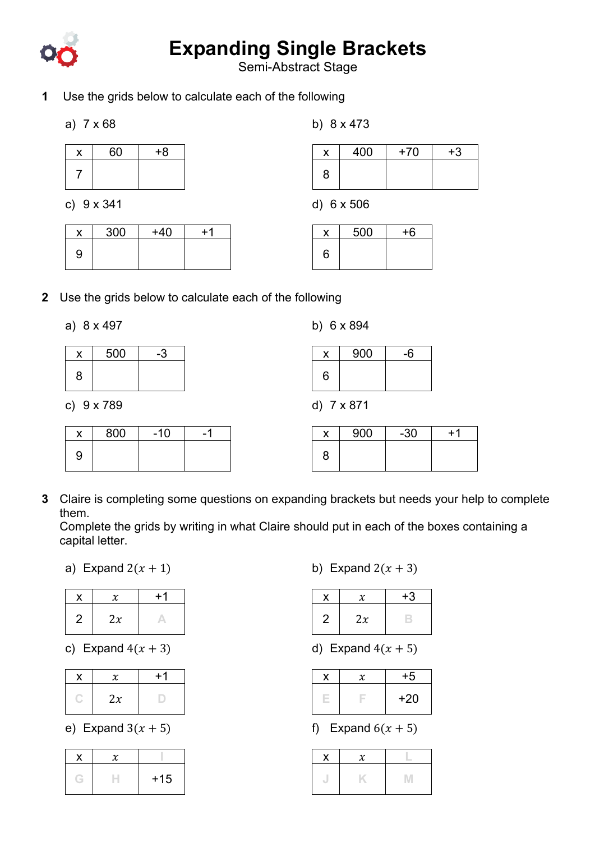

## **Expanding Single Brackets**

Semi-Abstract Stage

- **1** Use the grids below to calculate each of the following
	- a) 7 x 68

| 60 | $+8$ |
|----|------|
|    |      |

c) 9 x 341

| $+40$ |  |
|-------|--|
|       |  |
|       |  |

| x | 400 | $+70$ | $+3$ |
|---|-----|-------|------|
| 8 |     |       |      |

d) 6 x 506

b) 8 x 473

| $\boldsymbol{\mathsf{x}}$ | 500 | $+6$ |
|---------------------------|-----|------|
| 6                         |     |      |

- **2** Use the grids below to calculate each of the following
	- a) 8 x 497

|   | 500 |  |
|---|-----|--|
| 8 |     |  |

c) 9 x 789

|   | 800 | $-10$ |  |
|---|-----|-------|--|
| 9 |     |       |  |

|  |  |  | b) 6 x 894 |
|--|--|--|------------|
|--|--|--|------------|

| x | 900 | $-6$ |
|---|-----|------|
| 6 |     |      |

d) 7 x 871

|   | 900 | $-30$ | $+1$ |
|---|-----|-------|------|
| 8 |     |       |      |

**3** Claire is completing some questions on expanding brackets but needs your help to complete them.

Complete the grids by writing in what Claire should put in each of the boxes containing a capital letter.

a) Expand  $2(x + 1)$ 

|                |    | $+1$ |
|----------------|----|------|
| $\overline{2}$ | 2x |      |

c) Expand  $4(x + 3)$ 

| х  | $+1$ |
|----|------|
| 2x |      |

e) Expand  $3(x + 5)$ 

|  | $+15$ |
|--|-------|

b) Expand  $2(x + 3)$ 

|   | x  | $+3$ |
|---|----|------|
| 2 | 2x |      |

d) Expand  $4(x + 5)$ 

| $\boldsymbol{x}$ | $+5$  |
|------------------|-------|
|                  | $+20$ |

f) Expand  $6(x + 5)$ 

| X | χ |  |
|---|---|--|
|   |   |  |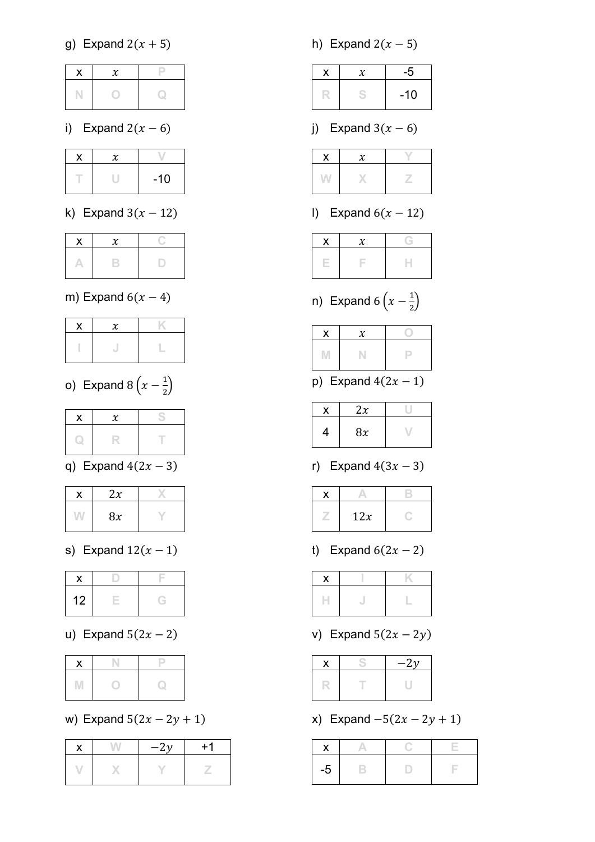g) Expand  $2(x + 5)$ 

i) Expand  $2(x - 6)$ 

| X |       |
|---|-------|
|   | $-10$ |

k) Expand  $3(x - 12)$ 

## m) Expand  $6(x - 4)$

o) Expand  $8\left(x-\frac{1}{2}\right)$ 

| . . | Υ |  |
|-----|---|--|
|     |   |  |

q) Expand  $4(2x - 3)$ 

| 2x |  |
|----|--|
| 8x |  |

s) Expand  $12(x - 1)$ 

| 12 |  |
|----|--|

u) Expand  $5(2x - 2)$ 

w) Expand  $5(2x - 2y + 1)$ 

|   | $-2y$ | $+1$ |
|---|-------|------|
| V |       |      |

h) Expand  $2(x - 5)$ 

| $\chi$ | -5    |
|--------|-------|
|        | $-10$ |

j) Expand  $3(x - 6)$ 

l) Expand  $6(x - 12)$ 

n) Expand  $6\left(x-\frac{1}{2}\right)$ 

p) Expand  $4(2x - 1)$ 

|   | 2x |  |
|---|----|--|
| 4 | 8x |  |

r) Expand  $4(3x - 3)$ 

| 12x |  |
|-----|--|

t) Expand  $6(2x - 2)$ 

| Λ |  |
|---|--|
|   |  |

v) Expand  $5(2x - 2y)$ 

| X | $-2y$ |
|---|-------|
|   |       |

x) Expand  $-5(2x - 2y + 1)$ 

| -၁ |  |  |
|----|--|--|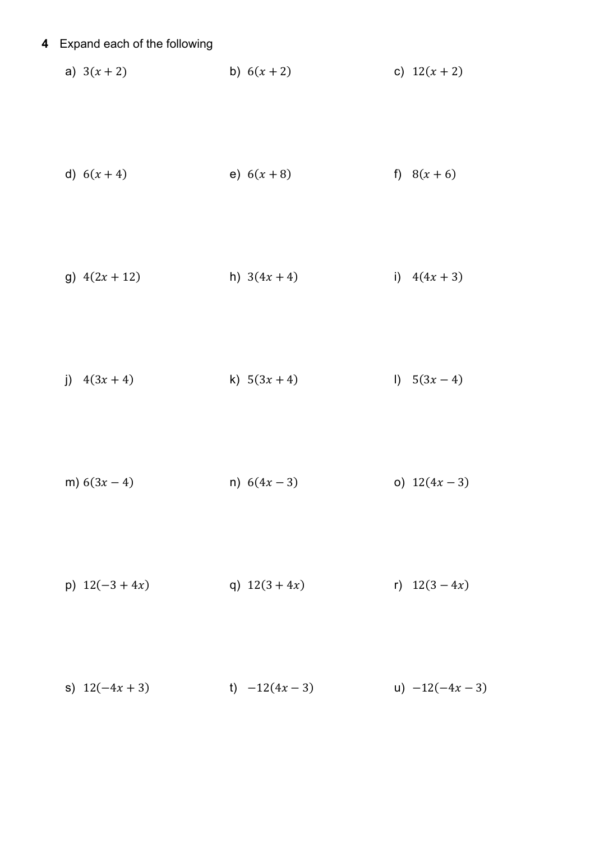## **4** Expand each of the following

a)  $3(x+2)$  b)  $6(x+2)$  c)  $12(x+2)$ 

d) 
$$
6(x+4)
$$
 e)  $6(x+8)$  f)  $8(x+6)$ 

g)  $4(2x + 12)$  h)  $3(4x + 4)$  i)  $4(4x + 3)$ 

j)  $4(3x + 4)$  k)  $5(3x + 4)$  l)  $5(3x - 4)$ 

m)  $6(3x-4)$  n)  $6(4x-3)$  o)  $12(4x-3)$ 

p)  $12(-3+4x)$  q)  $12(3+4x)$  r)  $12(3-4x)$ 

s)  $12(-4x + 3)$  t)  $-12(4x - 3)$  u)  $-12(-4x - 3)$